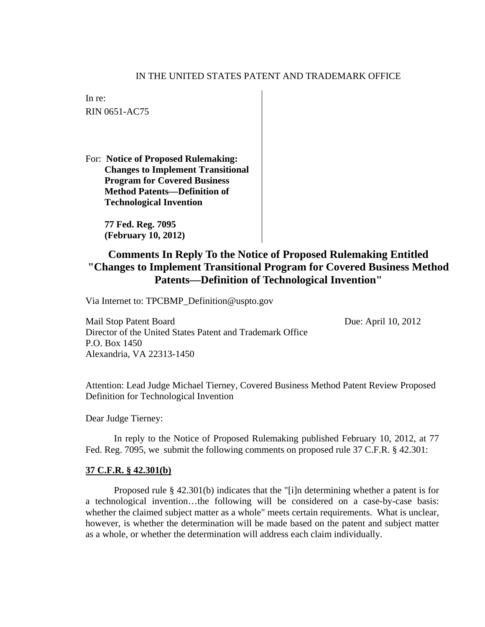## IN THE UNITED STATES PATENT AND TRADEMARK OFFICE

In re: RIN 0651-AC75

For: **Notice of Proposed Rulemaking: Changes to Implement Transitional Program for Covered Business Method Patents—Definition of Technological Invention** 

> **77 Fed. Reg. 7095 (February 10, 2012)**

## **Comments In Reply To the Notice of Proposed Rulemaking Entitled "Changes to Implement Transitional Program for Covered Business Method Patents—Definition of Technological Invention"**

Via Internet to: TPCBMP\_Definition@uspto.gov

Mail Stop Patent Board Due: April 10, 2012 Director of the United States Patent and Trademark Office P.O. Box 1450 Alexandria, VA 22313-1450

Attention: Lead Judge Michael Tierney, Covered Business Method Patent Review Proposed Definition for Technological Invention

Dear Judge Tierney:

In reply to the Notice of Proposed Rulemaking published February 10, 2012, at 77 Fed. Reg. 7095, we submit the following comments on proposed rule 37 C.F.R. § 42.301:

## **37 C.F.R. § 42.301(b)**

Proposed rule § 42.301(b) indicates that the "[i]n determining whether a patent is for a technological invention…the following will be considered on a case-by-case basis: whether the claimed subject matter as a whole" meets certain requirements. What is unclear, however, is whether the determination will be made based on the patent and subject matter as a whole, or whether the determination will address each claim individually.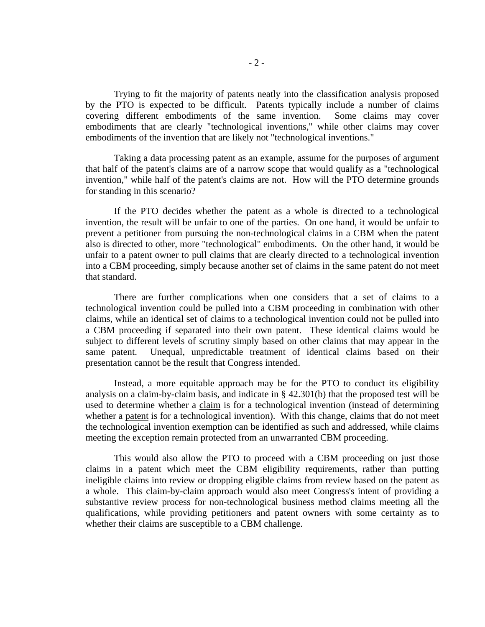Trying to fit the majority of patents neatly into the classification analysis proposed by the PTO is expected to be difficult. Patents typically include a number of claims covering different embodiments of the same invention. Some claims may cover embodiments that are clearly "technological inventions," while other claims may cover embodiments of the invention that are likely not "technological inventions."

Taking a data processing patent as an example, assume for the purposes of argument that half of the patent's claims are of a narrow scope that would qualify as a "technological invention," while half of the patent's claims are not. How will the PTO determine grounds for standing in this scenario?

If the PTO decides whether the patent as a whole is directed to a technological invention, the result will be unfair to one of the parties. On one hand, it would be unfair to prevent a petitioner from pursuing the non-technological claims in a CBM when the patent also is directed to other, more "technological" embodiments. On the other hand, it would be unfair to a patent owner to pull claims that are clearly directed to a technological invention into a CBM proceeding, simply because another set of claims in the same patent do not meet that standard.

There are further complications when one considers that a set of claims to a technological invention could be pulled into a CBM proceeding in combination with other claims, while an identical set of claims to a technological invention could not be pulled into a CBM proceeding if separated into their own patent. These identical claims would be subject to different levels of scrutiny simply based on other claims that may appear in the same patent. Unequal, unpredictable treatment of identical claims based on their presentation cannot be the result that Congress intended.

Instead, a more equitable approach may be for the PTO to conduct its eligibility analysis on a claim-by-claim basis, and indicate in § 42.301(b) that the proposed test will be used to determine whether a claim is for a technological invention (instead of determining whether a patent is for a technological invention). With this change, claims that do not meet the technological invention exemption can be identified as such and addressed, while claims meeting the exception remain protected from an unwarranted CBM proceeding.

This would also allow the PTO to proceed with a CBM proceeding on just those claims in a patent which meet the CBM eligibility requirements, rather than putting ineligible claims into review or dropping eligible claims from review based on the patent as a whole. This claim-by-claim approach would also meet Congress's intent of providing a substantive review process for non-technological business method claims meeting all the qualifications, while providing petitioners and patent owners with some certainty as to whether their claims are susceptible to a CBM challenge.